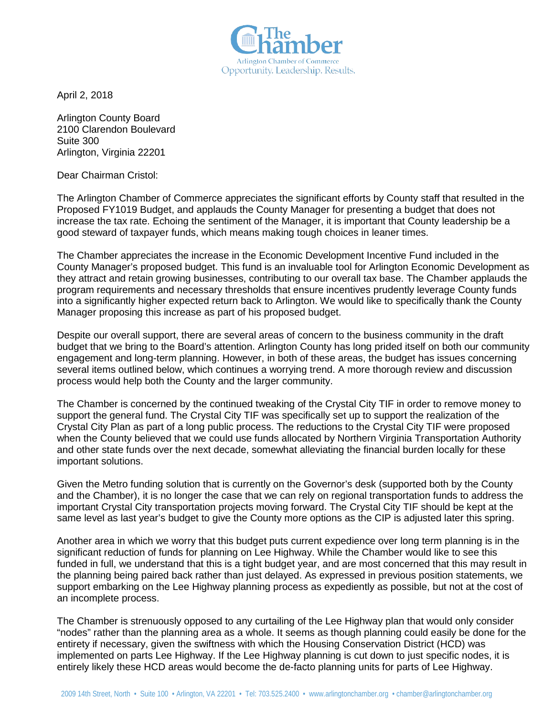Arlington Chamber of Commerce Opportunity. Leadership. Results.

April 2, 2018

Arlington County Board 2100 Clarendon Boulevard Suite 300 Arlington, Virginia 22201

Dear Chairman Cristol:

The Arlington Chamber of Commerce appreciates the significant efforts by County staff that resulted in the Proposed FY1019 Budget, and applauds the County Manager for presenting a budget that does not increase the tax rate. Echoing the sentiment of the Manager, it is important that County leadership be a good steward of taxpayer funds, which means making tough choices in leaner times.

The Chamber appreciates the increase in the Economic Development Incentive Fund included in the County Manager's proposed budget. This fund is an invaluable tool for Arlington Economic Development as they attract and retain growing businesses, contributing to our overall tax base. The Chamber applauds the program requirements and necessary thresholds that ensure incentives prudently leverage County funds into a significantly higher expected return back to Arlington. We would like to specifically thank the County Manager proposing this increase as part of his proposed budget.

Despite our overall support, there are several areas of concern to the business community in the draft budget that we bring to the Board's attention. Arlington County has long prided itself on both our community engagement and long-term planning. However, in both of these areas, the budget has issues concerning several items outlined below, which continues a worrying trend. A more thorough review and discussion process would help both the County and the larger community.

The Chamber is concerned by the continued tweaking of the Crystal City TIF in order to remove money to support the general fund. The Crystal City TIF was specifically set up to support the realization of the Crystal City Plan as part of a long public process. The reductions to the Crystal City TIF were proposed when the County believed that we could use funds allocated by Northern Virginia Transportation Authority and other state funds over the next decade, somewhat alleviating the financial burden locally for these important solutions.

Given the Metro funding solution that is currently on the Governor's desk (supported both by the County and the Chamber), it is no longer the case that we can rely on regional transportation funds to address the important Crystal City transportation projects moving forward. The Crystal City TIF should be kept at the same level as last year's budget to give the County more options as the CIP is adjusted later this spring.

Another area in which we worry that this budget puts current expedience over long term planning is in the significant reduction of funds for planning on Lee Highway. While the Chamber would like to see this funded in full, we understand that this is a tight budget year, and are most concerned that this may result in the planning being paired back rather than just delayed. As expressed in previous position statements, we support embarking on the Lee Highway planning process as expediently as possible, but not at the cost of an incomplete process.

The Chamber is strenuously opposed to any curtailing of the Lee Highway plan that would only consider "nodes" rather than the planning area as a whole. It seems as though planning could easily be done for the entirety if necessary, given the swiftness with which the Housing Conservation District (HCD) was implemented on parts Lee Highway. If the Lee Highway planning is cut down to just specific nodes, it is entirely likely these HCD areas would become the de-facto planning units for parts of Lee Highway.